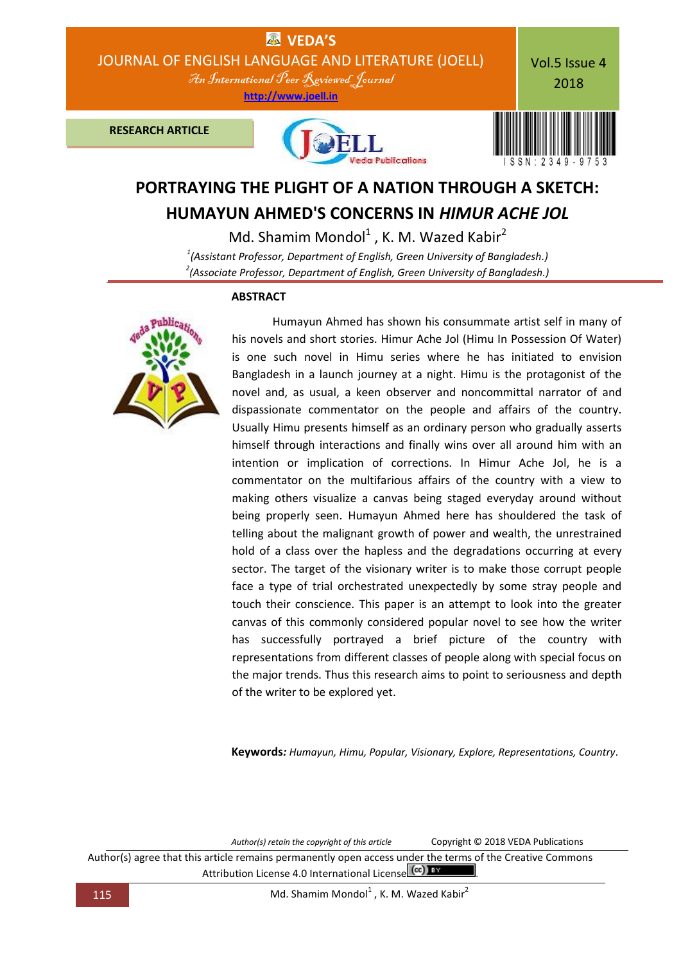

# **PORTRAYING THE PLIGHT OF A NATION THROUGH A SKETCH: HUMAYUN AHMED'S CONCERNS IN** *HIMUR ACHE JOL*

Md. Shamim Mondol $<sup>1</sup>$ , K. M. Wazed Kabir<sup>2</sup></sup> *1 (Assistant Professor, Department of English, Green University of Bangladesh.) 2 (Associate Professor, Department of English, Green University of Bangladesh.)*

## **ABSTRACT**

Humayun Ahmed has shown his consummate artist self in many of his novels and short stories. Himur Ache Jol (Himu In Possession Of Water) is one such novel in Himu series where he has initiated to envision Bangladesh in a launch journey at a night. Himu is the protagonist of the novel and, as usual, a keen observer and noncommittal narrator of and dispassionate commentator on the people and affairs of the country. Usually Himu presents himself as an ordinary person who gradually asserts himself through interactions and finally wins over all around him with an intention or implication of corrections. In Himur Ache Jol, he is a commentator on the multifarious affairs of the country with a view to making others visualize a canvas being staged everyday around without being properly seen. Humayun Ahmed here has shouldered the task of telling about the malignant growth of power and wealth, the unrestrained hold of a class over the hapless and the degradations occurring at every sector. The target of the visionary writer is to make those corrupt people face a type of trial orchestrated unexpectedly by some stray people and touch their conscience. This paper is an attempt to look into the greater canvas of this commonly considered popular novel to see how the writer has successfully portrayed a brief picture of the country with representations from different classes of people along with special focus on the major trends. Thus this research aims to point to seriousness and depth of the writer to be explored yet.

**Keywords***: Humayun, Himu, Popular, Visionary, Explore, Representations, Country.*

*Author(s) retain the copyright of this article* Copyright © 2018 VEDA Publications

Author(s) agree that this article remains permanently open access under the terms of the Creative Commons Attribution License 4.0 International License  $\left(\alpha c\right)$  BY

115 Md. Shamim Mondol<sup>1</sup>, K. M. Wazed Kabir<sup>2</sup>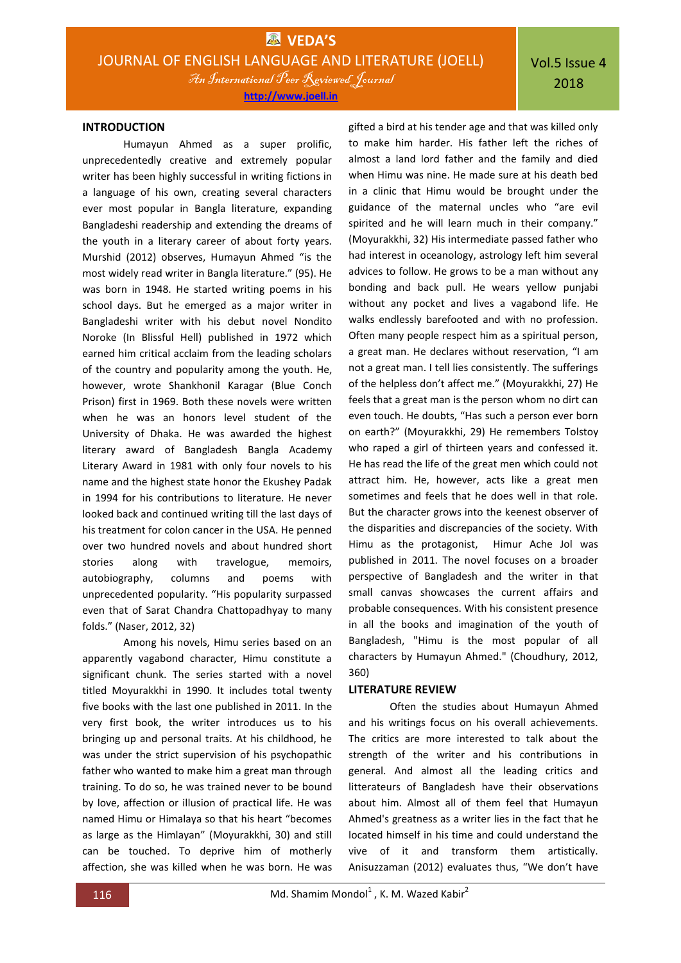Vol.5 Issue 4 2018

#### **INTRODUCTION**

Humayun Ahmed as a super prolific, unprecedentedly creative and extremely popular writer has been highly successful in writing fictions in a language of his own, creating several characters ever most popular in Bangla literature, expanding Bangladeshi readership and extending the dreams of the youth in a literary career of about forty years. Murshid (2012) observes, Humayun Ahmed "is the most widely read writer in Bangla literature." (95). He was born in 1948. He started writing poems in his school days. But he emerged as a major writer in Bangladeshi writer with his debut novel Nondito Noroke (In Blissful Hell) published in 1972 which earned him critical acclaim from the leading scholars of the country and popularity among the youth. He, however, wrote Shankhonil Karagar (Blue Conch Prison) first in 1969. Both these novels were written when he was an honors level student of the University of Dhaka. He was awarded the highest literary award of Bangladesh Bangla Academy Literary Award in 1981 with only four novels to his name and the highest state honor the Ekushey Padak in 1994 for his contributions to literature. He never looked back and continued writing till the last days of his treatment for colon cancer in the USA. He penned over two hundred novels and about hundred short stories along with travelogue, memoirs, autobiography, columns and poems with unprecedented popularity. "His popularity surpassed even that of Sarat Chandra Chattopadhyay to many folds." (Naser, 2012, 32)

Among his novels, Himu series based on an apparently vagabond character, Himu constitute a significant chunk. The series started with a novel titled Moyurakkhi in 1990. It includes total twenty five books with the last one published in 2011. In the very first book, the writer introduces us to his bringing up and personal traits. At his childhood, he was under the strict supervision of his psychopathic father who wanted to make him a great man through training. To do so, he was trained never to be bound by love, affection or illusion of practical life. He was named Himu or Himalaya so that his heart "becomes as large as the Himlayan" (Moyurakkhi, 30) and still can be touched. To deprive him of motherly affection, she was killed when he was born. He was

gifted a bird at his tender age and that was killed only to make him harder. His father left the riches of almost a land lord father and the family and died when Himu was nine. He made sure at his death bed in a clinic that Himu would be brought under the guidance of the maternal uncles who "are evil spirited and he will learn much in their company." (Moyurakkhi, 32) His intermediate passed father who had interest in oceanology, astrology left him several advices to follow. He grows to be a man without any bonding and back pull. He wears yellow punjabi without any pocket and lives a vagabond life. He walks endlessly barefooted and with no profession. Often many people respect him as a spiritual person, a great man. He declares without reservation, "I am not a great man. I tell lies consistently. The sufferings of the helpless don't affect me." (Moyurakkhi, 27) He feels that a great man is the person whom no dirt can even touch. He doubts, "Has such a person ever born on earth?" (Moyurakkhi, 29) He remembers Tolstoy who raped a girl of thirteen years and confessed it. He has read the life of the great men which could not attract him. He, however, acts like a great men sometimes and feels that he does well in that role. But the character grows into the keenest observer of the disparities and discrepancies of the society. With Himu as the protagonist, Himur Ache Jol was published in 2011. The novel focuses on a broader perspective of Bangladesh and the writer in that small canvas showcases the current affairs and probable consequences. With his consistent presence in all the books and imagination of the youth of Bangladesh, "Himu is the most popular of all characters by Humayun Ahmed." (Choudhury, 2012, 360)

#### **LITERATURE REVIEW**

Often the studies about Humayun Ahmed and his writings focus on his overall achievements. The critics are more interested to talk about the strength of the writer and his contributions in general. And almost all the leading critics and litterateurs of Bangladesh have their observations about him. Almost all of them feel that Humayun Ahmed's greatness as a writer lies in the fact that he located himself in his time and could understand the vive of it and transform them artistically. Anisuzzaman (2012) evaluates thus, "We don't have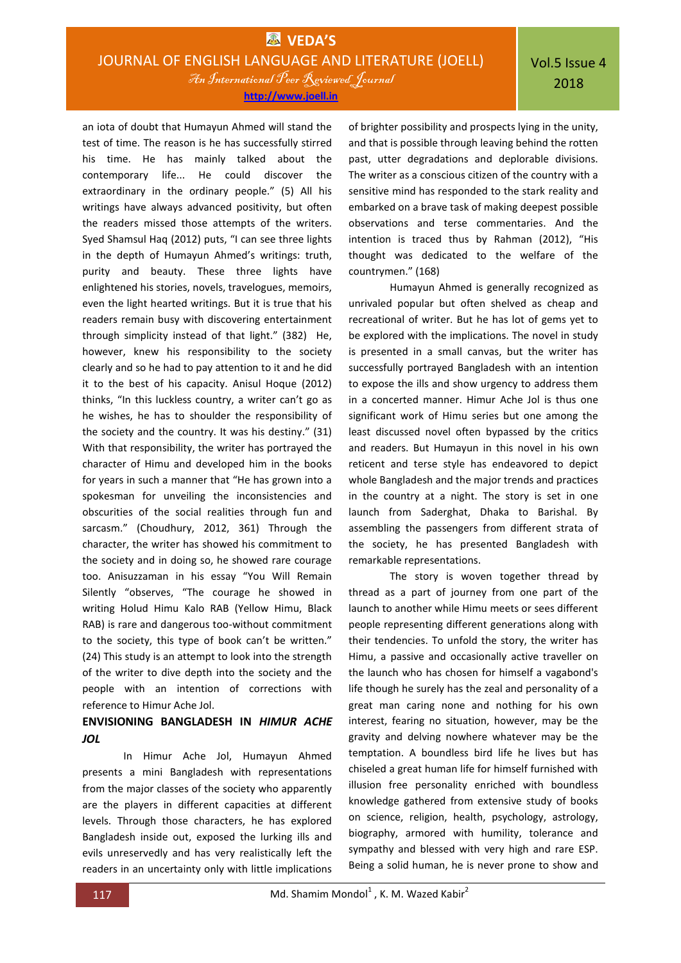an iota of doubt that Humayun Ahmed will stand the test of time. The reason is he has successfully stirred his time. He has mainly talked about the contemporary life... He could discover the extraordinary in the ordinary people." (5) All his writings have always advanced positivity, but often the readers missed those attempts of the writers. Syed Shamsul Haq (2012) puts, "I can see three lights in the depth of Humayun Ahmed's writings: truth, purity and beauty. These three lights have enlightened his stories, novels, travelogues, memoirs, even the light hearted writings. But it is true that his readers remain busy with discovering entertainment through simplicity instead of that light." (382) He, however, knew his responsibility to the society clearly and so he had to pay attention to it and he did it to the best of his capacity. Anisul Hoque (2012) thinks, "In this luckless country, a writer can't go as he wishes, he has to shoulder the responsibility of the society and the country. It was his destiny." (31) With that responsibility, the writer has portrayed the character of Himu and developed him in the books for years in such a manner that "He has grown into a spokesman for unveiling the inconsistencies and obscurities of the social realities through fun and sarcasm." (Choudhury, 2012, 361) Through the character, the writer has showed his commitment to the society and in doing so, he showed rare courage too. Anisuzzaman in his essay "You Will Remain Silently "observes, "The courage he showed in writing Holud Himu Kalo RAB (Yellow Himu, Black RAB) is rare and dangerous too-without commitment to the society, this type of book can't be written." (24) This study is an attempt to look into the strength of the writer to dive depth into the society and the people with an intention of corrections with reference to Himur Ache Jol.

## **ENVISIONING BANGLADESH IN** *HIMUR ACHE JOL*

In Himur Ache Jol, Humayun Ahmed presents a mini Bangladesh with representations from the major classes of the society who apparently are the players in different capacities at different levels. Through those characters, he has explored Bangladesh inside out, exposed the lurking ills and evils unreservedly and has very realistically left the readers in an uncertainty only with little implications of brighter possibility and prospects lying in the unity, and that is possible through leaving behind the rotten past, utter degradations and deplorable divisions. The writer as a conscious citizen of the country with a sensitive mind has responded to the stark reality and embarked on a brave task of making deepest possible observations and terse commentaries. And the intention is traced thus by Rahman (2012), "His thought was dedicated to the welfare of the countrymen." (168)

Humayun Ahmed is generally recognized as unrivaled popular but often shelved as cheap and recreational of writer. But he has lot of gems yet to be explored with the implications. The novel in study is presented in a small canvas, but the writer has successfully portrayed Bangladesh with an intention to expose the ills and show urgency to address them in a concerted manner. Himur Ache Jol is thus one significant work of Himu series but one among the least discussed novel often bypassed by the critics and readers. But Humayun in this novel in his own reticent and terse style has endeavored to depict whole Bangladesh and the major trends and practices in the country at a night. The story is set in one launch from Saderghat, Dhaka to Barishal. By assembling the passengers from different strata of the society, he has presented Bangladesh with remarkable representations.

The story is woven together thread by thread as a part of journey from one part of the launch to another while Himu meets or sees different people representing different generations along with their tendencies. To unfold the story, the writer has Himu, a passive and occasionally active traveller on the launch who has chosen for himself a vagabond's life though he surely has the zeal and personality of a great man caring none and nothing for his own interest, fearing no situation, however, may be the gravity and delving nowhere whatever may be the temptation. A boundless bird life he lives but has chiseled a great human life for himself furnished with illusion free personality enriched with boundless knowledge gathered from extensive study of books on science, religion, health, psychology, astrology, biography, armored with humility, tolerance and sympathy and blessed with very high and rare ESP. Being a solid human, he is never prone to show and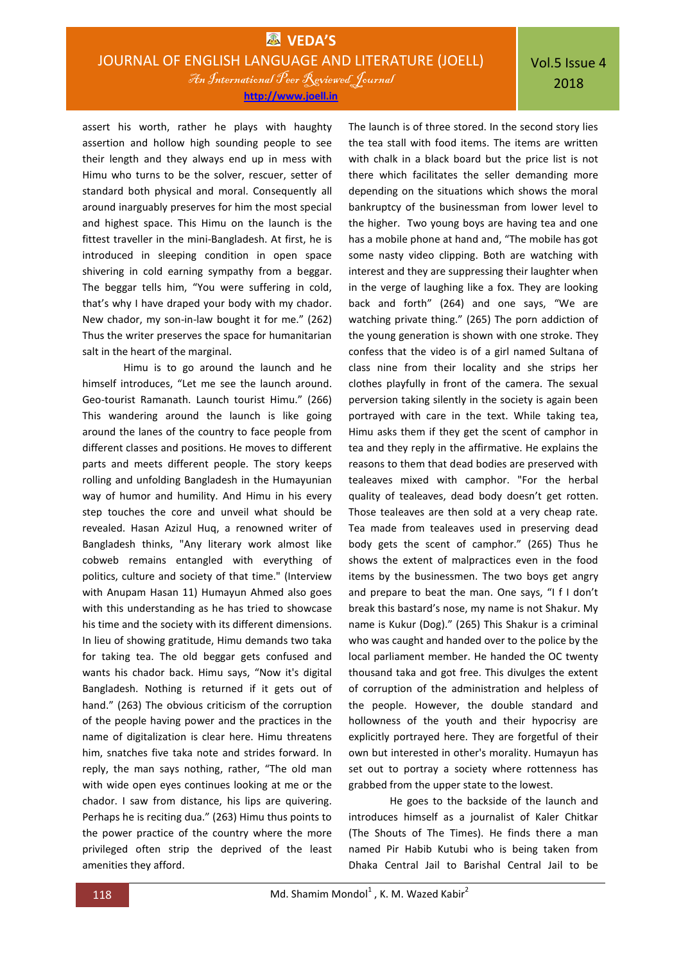assert his worth, rather he plays with haughty assertion and hollow high sounding people to see their length and they always end up in mess with Himu who turns to be the solver, rescuer, setter of standard both physical and moral. Consequently all around inarguably preserves for him the most special and highest space. This Himu on the launch is the fittest traveller in the mini-Bangladesh. At first, he is introduced in sleeping condition in open space shivering in cold earning sympathy from a beggar. The beggar tells him, "You were suffering in cold, that's why I have draped your body with my chador. New chador, my son-in-law bought it for me." (262) Thus the writer preserves the space for humanitarian salt in the heart of the marginal.

Himu is to go around the launch and he himself introduces, "Let me see the launch around. Geo-tourist Ramanath. Launch tourist Himu." (266) This wandering around the launch is like going around the lanes of the country to face people from different classes and positions. He moves to different parts and meets different people. The story keeps rolling and unfolding Bangladesh in the Humayunian way of humor and humility. And Himu in his every step touches the core and unveil what should be revealed. Hasan Azizul Huq, a renowned writer of Bangladesh thinks, "Any literary work almost like cobweb remains entangled with everything of politics, culture and society of that time." (Interview with Anupam Hasan 11) Humayun Ahmed also goes with this understanding as he has tried to showcase his time and the society with its different dimensions. In lieu of showing gratitude, Himu demands two taka for taking tea. The old beggar gets confused and wants his chador back. Himu says, "Now it's digital Bangladesh. Nothing is returned if it gets out of hand." (263) The obvious criticism of the corruption of the people having power and the practices in the name of digitalization is clear here. Himu threatens him, snatches five taka note and strides forward. In reply, the man says nothing, rather, "The old man with wide open eyes continues looking at me or the chador. I saw from distance, his lips are quivering. Perhaps he is reciting dua." (263) Himu thus points to the power practice of the country where the more privileged often strip the deprived of the least amenities they afford.

The launch is of three stored. In the second story lies the tea stall with food items. The items are written with chalk in a black board but the price list is not there which facilitates the seller demanding more depending on the situations which shows the moral bankruptcy of the businessman from lower level to the higher. Two young boys are having tea and one has a mobile phone at hand and, "The mobile has got some nasty video clipping. Both are watching with interest and they are suppressing their laughter when in the verge of laughing like a fox. They are looking back and forth" (264) and one says, "We are watching private thing." (265) The porn addiction of the young generation is shown with one stroke. They confess that the video is of a girl named Sultana of class nine from their locality and she strips her clothes playfully in front of the camera. The sexual perversion taking silently in the society is again been portrayed with care in the text. While taking tea, Himu asks them if they get the scent of camphor in tea and they reply in the affirmative. He explains the reasons to them that dead bodies are preserved with tealeaves mixed with camphor. "For the herbal quality of tealeaves, dead body doesn't get rotten. Those tealeaves are then sold at a very cheap rate. Tea made from tealeaves used in preserving dead body gets the scent of camphor." (265) Thus he shows the extent of malpractices even in the food items by the businessmen. The two boys get angry and prepare to beat the man. One says, "I f I don't break this bastard's nose, my name is not Shakur. My name is Kukur (Dog)." (265) This Shakur is a criminal who was caught and handed over to the police by the local parliament member. He handed the OC twenty thousand taka and got free. This divulges the extent of corruption of the administration and helpless of the people. However, the double standard and hollowness of the youth and their hypocrisy are explicitly portrayed here. They are forgetful of their own but interested in other's morality. Humayun has set out to portray a society where rottenness has grabbed from the upper state to the lowest.

He goes to the backside of the launch and introduces himself as a journalist of Kaler Chitkar (The Shouts of The Times). He finds there a man named Pir Habib Kutubi who is being taken from Dhaka Central Jail to Barishal Central Jail to be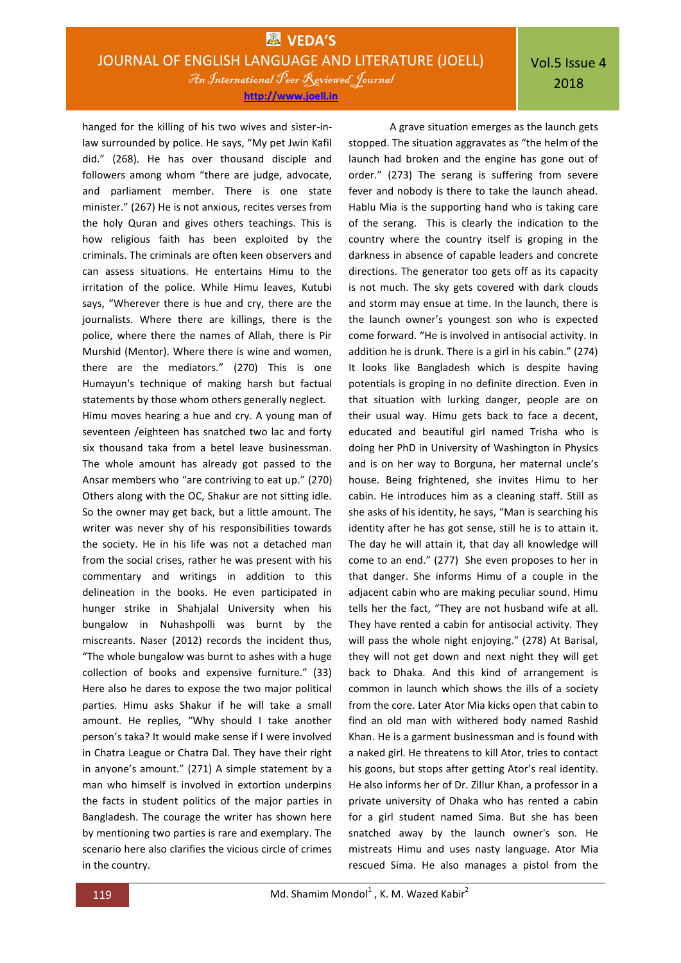Vol.5 Issue 4 2018

hanged for the killing of his two wives and sister-inlaw surrounded by police. He says, "My pet Jwin Kafil did." (268). He has over thousand disciple and followers among whom "there are judge, advocate, and parliament member. There is one state minister." (267) He is not anxious, recites verses from the holy Quran and gives others teachings. This is how religious faith has been exploited by the criminals. The criminals are often keen observers and can assess situations. He entertains Himu to the irritation of the police. While Himu leaves, Kutubi says, "Wherever there is hue and cry, there are the journalists. Where there are killings, there is the police, where there the names of Allah, there is Pir Murshid (Mentor). Where there is wine and women, there are the mediators." (270) This is one Humayun's technique of making harsh but factual statements by those whom others generally neglect. Himu moves hearing a hue and cry. A young man of seventeen /eighteen has snatched two lac and forty six thousand taka from a betel leave businessman. The whole amount has already got passed to the Ansar members who "are contriving to eat up." (270) Others along with the OC, Shakur are not sitting idle. So the owner may get back, but a little amount. The writer was never shy of his responsibilities towards the society. He in his life was not a detached man from the social crises, rather he was present with his commentary and writings in addition to this delineation in the books. He even participated in hunger strike in Shahjalal University when his bungalow in Nuhashpolli was burnt by the miscreants. Naser (2012) records the incident thus, "The whole bungalow was burnt to ashes with a huge collection of books and expensive furniture." (33) Here also he dares to expose the two major political parties. Himu asks Shakur if he will take a small amount. He replies, "Why should I take another person's taka? It would make sense if I were involved in Chatra League or Chatra Dal. They have their right in anyone's amount." (271) A simple statement by a man who himself is involved in extortion underpins the facts in student politics of the major parties in Bangladesh. The courage the writer has shown here by mentioning two parties is rare and exemplary. The scenario here also clarifies the vicious circle of crimes in the country.

A grave situation emerges as the launch gets stopped. The situation aggravates as "the helm of the launch had broken and the engine has gone out of order." (273) The serang is suffering from severe fever and nobody is there to take the launch ahead. Hablu Mia is the supporting hand who is taking care of the serang. This is clearly the indication to the country where the country itself is groping in the darkness in absence of capable leaders and concrete directions. The generator too gets off as its capacity is not much. The sky gets covered with dark clouds and storm may ensue at time. In the launch, there is the launch owner's youngest son who is expected come forward. "He is involved in antisocial activity. In addition he is drunk. There is a girl in his cabin." (274) It looks like Bangladesh which is despite having potentials is groping in no definite direction. Even in that situation with lurking danger, people are on their usual way. Himu gets back to face a decent, educated and beautiful girl named Trisha who is doing her PhD in University of Washington in Physics and is on her way to Borguna, her maternal uncle's house. Being frightened, she invites Himu to her cabin. He introduces him as a cleaning staff. Still as she asks of his identity, he says, "Man is searching his identity after he has got sense, still he is to attain it. The day he will attain it, that day all knowledge will come to an end." (277) She even proposes to her in that danger. She informs Himu of a couple in the adjacent cabin who are making peculiar sound. Himu tells her the fact, "They are not husband wife at all. They have rented a cabin for antisocial activity. They will pass the whole night enjoying." (278) At Barisal, they will not get down and next night they will get back to Dhaka. And this kind of arrangement is common in launch which shows the ills of a society from the core. Later Ator Mia kicks open that cabin to find an old man with withered body named Rashid Khan. He is a garment businessman and is found with a naked girl. He threatens to kill Ator, tries to contact his goons, but stops after getting Ator's real identity. He also informs her of Dr. Zillur Khan, a professor in a private university of Dhaka who has rented a cabin for a girl student named Sima. But she has been snatched away by the launch owner's son. He mistreats Himu and uses nasty language. Ator Mia rescued Sima. He also manages a pistol from the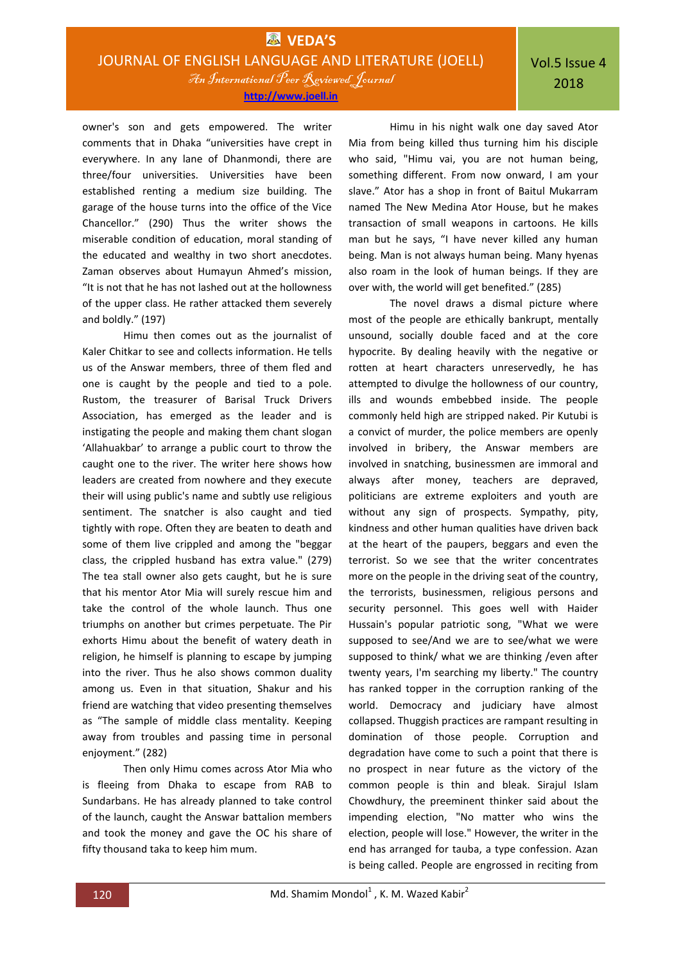owner's son and gets empowered. The writer comments that in Dhaka "universities have crept in everywhere. In any lane of Dhanmondi, there are three/four universities. Universities have been established renting a medium size building. The garage of the house turns into the office of the Vice Chancellor." (290) Thus the writer shows the miserable condition of education, moral standing of the educated and wealthy in two short anecdotes. Zaman observes about Humayun Ahmed's mission, "It is not that he has not lashed out at the hollowness of the upper class. He rather attacked them severely and boldly." (197)

Himu then comes out as the journalist of Kaler Chitkar to see and collects information. He tells us of the Answar members, three of them fled and one is caught by the people and tied to a pole. Rustom, the treasurer of Barisal Truck Drivers Association, has emerged as the leader and is instigating the people and making them chant slogan 'Allahuakbar' to arrange a public court to throw the caught one to the river. The writer here shows how leaders are created from nowhere and they execute their will using public's name and subtly use religious sentiment. The snatcher is also caught and tied tightly with rope. Often they are beaten to death and some of them live crippled and among the "beggar class, the crippled husband has extra value." (279) The tea stall owner also gets caught, but he is sure that his mentor Ator Mia will surely rescue him and take the control of the whole launch. Thus one triumphs on another but crimes perpetuate. The Pir exhorts Himu about the benefit of watery death in religion, he himself is planning to escape by jumping into the river. Thus he also shows common duality among us. Even in that situation, Shakur and his friend are watching that video presenting themselves as "The sample of middle class mentality. Keeping away from troubles and passing time in personal enjoyment." (282)

Then only Himu comes across Ator Mia who is fleeing from Dhaka to escape from RAB to Sundarbans. He has already planned to take control of the launch, caught the Answar battalion members and took the money and gave the OC his share of fifty thousand taka to keep him mum.

Himu in his night walk one day saved Ator Mia from being killed thus turning him his disciple who said, "Himu vai, you are not human being, something different. From now onward, I am your slave." Ator has a shop in front of Baitul Mukarram named The New Medina Ator House, but he makes transaction of small weapons in cartoons. He kills man but he says, "I have never killed any human being. Man is not always human being. Many hyenas also roam in the look of human beings. If they are over with, the world will get benefited." (285)

The novel draws a dismal picture where most of the people are ethically bankrupt, mentally unsound, socially double faced and at the core hypocrite. By dealing heavily with the negative or rotten at heart characters unreservedly, he has attempted to divulge the hollowness of our country, ills and wounds embebbed inside. The people commonly held high are stripped naked. Pir Kutubi is a convict of murder, the police members are openly involved in bribery, the Answar members are involved in snatching, businessmen are immoral and always after money, teachers are depraved, politicians are extreme exploiters and youth are without any sign of prospects. Sympathy, pity, kindness and other human qualities have driven back at the heart of the paupers, beggars and even the terrorist. So we see that the writer concentrates more on the people in the driving seat of the country, the terrorists, businessmen, religious persons and security personnel. This goes well with Haider Hussain's popular patriotic song, "What we were supposed to see/And we are to see/what we were supposed to think/ what we are thinking /even after twenty years, I'm searching my liberty." The country has ranked topper in the corruption ranking of the world. Democracy and judiciary have almost collapsed. Thuggish practices are rampant resulting in domination of those people. Corruption and degradation have come to such a point that there is no prospect in near future as the victory of the common people is thin and bleak. Sirajul Islam Chowdhury, the preeminent thinker said about the impending election, "No matter who wins the election, people will lose." However, the writer in the end has arranged for tauba, a type confession. Azan is being called. People are engrossed in reciting from